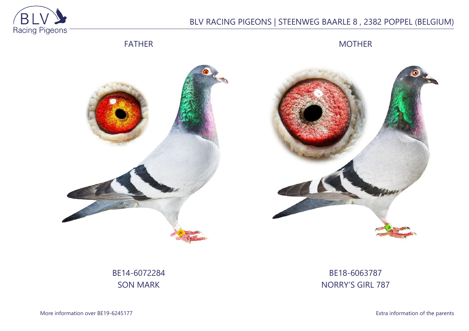

# BLV RACING PIGEONS | STEENWEG BAARLE 8 , 2382 POPPEL (BELGIUM)

## FATHER

MOTHER





# BE14-6072284 SON MARK

## BE18-6063787 NORRY'S GIRL 787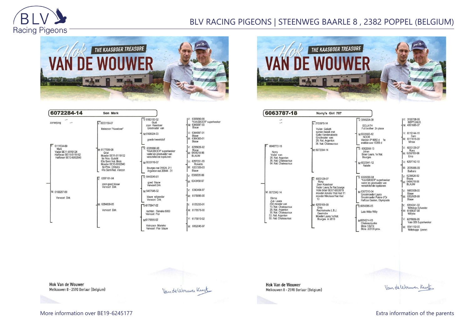

## BLV RACING PIGEONS | STEENWEG BAARLE 8 , 2382 POPPEL (BELGIUM)



| 6072284-14                                                                                                     | Son Mark                                                                                |                                                                                                 |                                                                    |
|----------------------------------------------------------------------------------------------------------------|-----------------------------------------------------------------------------------------|-------------------------------------------------------------------------------------------------|--------------------------------------------------------------------|
| zomerjong<br>$V: 6111534-09$<br>Mark<br>Vader BE11-6119124<br>Halfbroer BE11-6119152<br>Halfbroer BE13-6062040 | $V: 6033159-07$<br>kleinzoon "Kaasboer"                                                 | $V.6183100-02$<br>Gust<br>zoon Kaasboer<br>Grootvader van                                       | IV: 6335690-98<br>"KAASBOER" superkweker<br>M: 6345097-00<br>Blauw |
|                                                                                                                |                                                                                         | M:6108024-03<br>goede kweekduif                                                                 | V: 6344997-01<br>Blauw<br>M: 6364383-01<br>Blauw                   |
|                                                                                                                | M: 6177699-08<br>Griet<br>Moeder BE11-6119152<br>9e Prov. Guérét                        | $V: 6335690-98$<br>"KAASBOER" superkweker<br>vader en grootvader van<br>verschillende topduiven | $V: 6235626-92$<br>Blauw<br>M: 6404318-96<br><b>BLAUW</b>          |
|                                                                                                                | 63e Semi Nat. Blois<br>Moeder BE13-6062040<br>6e Prov. Orléans<br>41e Semi Nat. Vierzon | M:6033110-07<br>Bourges nat 31824-211<br>Argenton nat 20844 - 31                                | $V: 6257231-03$<br>Ronaldo<br>M: 6257209-03<br>Blauw               |
|                                                                                                                | $V: 6397101 - 04$<br>zoon goed blauw<br>Vervoort Dirk                                   | $\nabla 6440049-01$<br>goed blauw<br>Veryoort Dirk                                              | V: 6389305-99<br>M: 6343458-97                                     |
| M: 6103287-09                                                                                                  |                                                                                         | M:6457645-02                                                                                    | 6343464-97<br>V:                                                   |
| Vervoort Dirk                                                                                                  |                                                                                         | blauw witpender<br>Vervoort Dirk                                                                | M: 6178895-00                                                      |
|                                                                                                                | M: 6284830-05                                                                           | $V:6175947-02$                                                                                  | 6135253-01<br>IV:                                                  |
|                                                                                                                | Vervoort Dirk                                                                           | rechtstr. Fieneke 5000<br>Vervoort Flor                                                         | M: 6178576-00                                                      |
|                                                                                                                |                                                                                         | M6175556-02                                                                                     | V: 6175810-02                                                      |
|                                                                                                                |                                                                                         | kleinzoon Marieke<br>Vervoort Flor blauw                                                        | M: 6162045-97                                                      |



6063787-18 Norry's Girl 787 V: 3199708-99<br>NEPTUNUS<br>M: 4361085-07  $\sqrt{V}$ : 3095224-09  $\tilde{\mathbb{I}}$  $\sqrt{2}3155978-14$ GOLIATH<br>Full brother 2n place Vuilen Goliath samen kweek met<br>Gaby Vandenabeele  $V: 6119144-11$ M:6023320-12 **NOOR** Sam<br>M: 6111515-09 Grootvader van:<br>28. Nat. Argenton<br>36. Nat. Chateauroux Vierzon IP 9950 d 1e<br>snelste van 15359 d Minoe 6048772-15 V: 6033129-07  $\nabla$  6062058-13 M: 6072394-14 M: 6259169-08 Norry<br>Vader van: Johan Broer Laura, 1e Nat. Ema vader van:<br>28. Nat. Argenton<br>36. Nat. Chateauroux<br>64. Nat. Chateauroux Bourges  $6297742 - 10$ M:6023341-12 Natalie M: 2035886-09 Barbara 6235626-92 5335690-98<br>KAASBOER\* superkweker  $\overline{\mathbf{r}}$ 6033129-07 Blauw<br>- 6404318-96 Rony<br>Zoon Kaasboer vandbocht superived<br>vader en grootvader van<br>verschillende tonduiven **BLAUW** Zoon Naasooer<br>Vader Laura, 1e Nat.bourge<br>Volle broer BE07-6033018<br>moeder Amalia 1Nat Asd 11 M:6307210-04<br>Grootmoeder Laura 6480508-00 M: 6072342-14 Blauw M: 6352928-99 moeder Nikolaas1Nat Asd Herna<br>Zus Laura<br>(Gr) moeder van<br>10. Nat. Chateauroux Grootmoeder Palme d'Or 13 Blauw Halfzus Gaston, Olympiade V: 6354241-02<br>Wittekop Sylvester<br>M: 6185637-98 M: 6259169-08  $\nabla: 6054295-05$ Erna 10. Nat. Chateauroux<br>28. Nat. Argenton<br>36. Nat. Chateauroux<br>53. Nat. Argenton Erna<br>Rechtstreeks L.B.J.<br>Geerinckx<br>Moeder Laura 1e Nat. Late Witte Willy Willyke 60. Nat. Chateauroux Bourges in 2010 6278009-95 M:6054214-05<br>Chateaurouxke Vale 009 Superkweker **Blois 1/627d** M: 6541152-00<br>Wittekopje ijzeren Blois 2/2135 prov

**Hok Van de Wouwer** Melkouwen 8 - 2590 Berlaar (Belgium)

Van de Wouwer Kirt

**Hok Van de Wouwer** Melkouwen 8 - 2590 Berlaar (Belgium)

Vande Worwer Kurk

More information over BE19-6245177 **Extra information of the parents**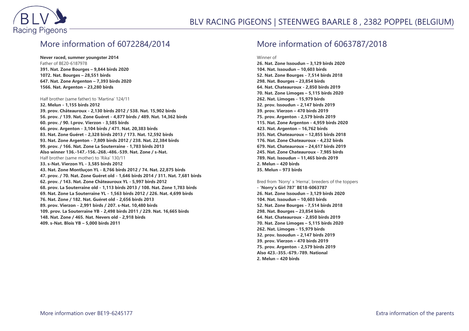

### More information of 6072284/2014

**Never raced, summer youngster 2014** Father of BE20-6187978 **391. Nat. Zone Bourges – 9,844 birds 2020 1072. Nat. Bourges – 28,551 birds 647. Nat. Zone Argenton – 7,393 birds 2020 1566. Nat. Argenton – 23,280 birds**

#### Half brother (same father) to 'Martina' 124/11

**32. Melun - 1,155 birds 2012 39. prov. Châteauroux - 2,130 birds 2012 / 538. Nat. 15,902 birds 56. prov. / 139. Nat. Zone Guéret - 4,877 birds / 489. Nat. 14,362 birds 60. prov. / 90. I.prov. Vierzon - 3,585 birds 66. prov. Argenton - 3,104 birds / 471. Nat. 20,383 birds 83. Nat. Zone Guéret - 2,328 birds 2013 / 173. Nat. 12,592 birds 93. Nat. Zone Argenton - 7,809 birds 2012 / 238. Nat. 22,384 birds 99. prov. / 166. Nat. Zone La Souterraine - 1,783 birds 2013 Also winner 136.-147.-156.-268.-486.-539. Nat. Zone / s-Nat.** Half brother (same mother) to 'Rika' 130/11 **33. s-Nat. Vierzon YL - 3,585 birds 2012 43. Nat. Zone Montluçon YL - 8,766 birds 2012 / 74. Nat. 22,875 birds 47. prov. / 70. Nat. Zone Guéret old - 1,646 birds 2014 / 311. Nat. 7,681 birds 62. prov. / 143. Nat. Zone Châteauroux YL - 5,997 birds 2012 68. prov. La Souterraine old - 1,113 birds 2013 / 108. Nat. Zone 1,783 birds 69. Nat. Zone La Souterraine YL - 1,563 birds 2012 / 226. Nat. 4,699 birds 76. Nat. Zone / 182. Nat. Guéret old - 2,656 birds 2013 89. prov. Vierzon - 2,991 birds / 207. s-Nat. 10,480 birds 109. prov. La Souterraine YB - 2,498 birds 2011 / 229. Nat. 16,665 birds 148. Nat. Zone / 465. Nat. Nevers old - 2,918 birds 409. s-Nat. Blois YB – 5,000 birds 2011**

### More information of 6063787/2018

Winner of

**26. Nat. Zone Issoudun – 3,129 birds 2020 104. Nat. Issoudun – 10,603 birds 52. Nat. Zone Bourges - 7,514 birds 2018 298. Nat. Bourges – 23,854 birds 64. Nat. Chateauroux - 2,850 birds 2019 70. Nat. Zone Limoges – 5,115 birds 2020 262. Nat. Limoges - 15,979 birds 32. prov. Issoudun – 2,147 birds 2019 39. prov. Vierzon – 470 birds 2019 75. prov. Argenton - 2,579 birds 2019 115. Nat. Zone Argenton - 4,959 birds 2020 423. Nat. Argenton – 16,762 birds 355. Nat. Chateauroux – 12,855 birds 2018 176. Nat. Zone Chateauroux - 4,232 birds 679. Nat. Chateauroux – 24,617 birds 2019 245. Nat. Zone Chateauroux - 7,985 birds 789. Nat. Issoudun – 11,465 birds 2019 2. Melun – 420 birds 35. Melun – 973 birds**

Bred from 'Norry' x 'Herna', breeders of the toppers **- 'Norry's Girl 787' BE18-6063787 26. Nat. Zone Issoudun – 3,129 birds 2020 104. Nat. Issoudun – 10,603 birds 52. Nat. Zone Bourges - 7,514 birds 2018 298. Nat. Bourges – 23,854 birds 64. Nat. Chateauroux - 2,850 birds 2019 70. Nat. Zone Limoges – 5,115 birds 2020 262. Nat. Limoges - 15,979 birds 32. prov. Issoudun – 2,147 birds 2019 39. prov. Vierzon – 470 birds 2019 75. prov. Argenton - 2,579 birds 2019 Also 423.-355.-679.-789. National 2. Melun – 420 birds**